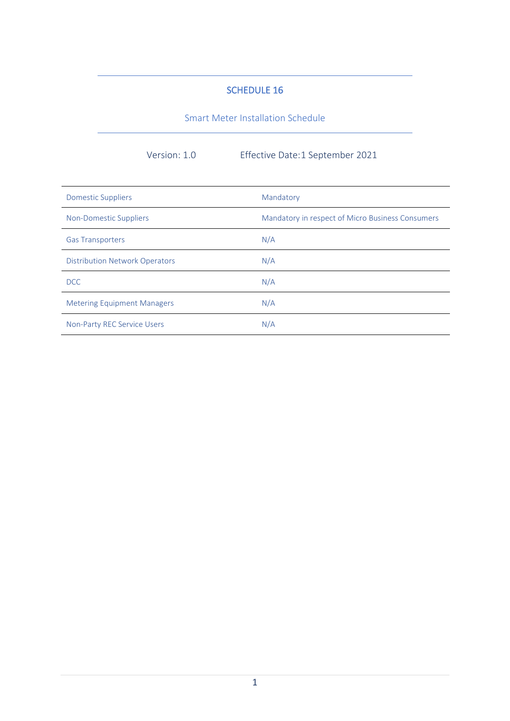## SCHEDULE 16

Smart Meter Installation Schedule

Version: 1.0 Effective Date:1 September 2021

| <b>Domestic Suppliers</b>             | Mandatory                                        |
|---------------------------------------|--------------------------------------------------|
| Non-Domestic Suppliers                | Mandatory in respect of Micro Business Consumers |
| <b>Gas Transporters</b>               | N/A                                              |
| <b>Distribution Network Operators</b> | N/A                                              |
| DCC                                   | N/A                                              |
| <b>Metering Equipment Managers</b>    | N/A                                              |
| <b>Non-Party REC Service Users</b>    | N/A                                              |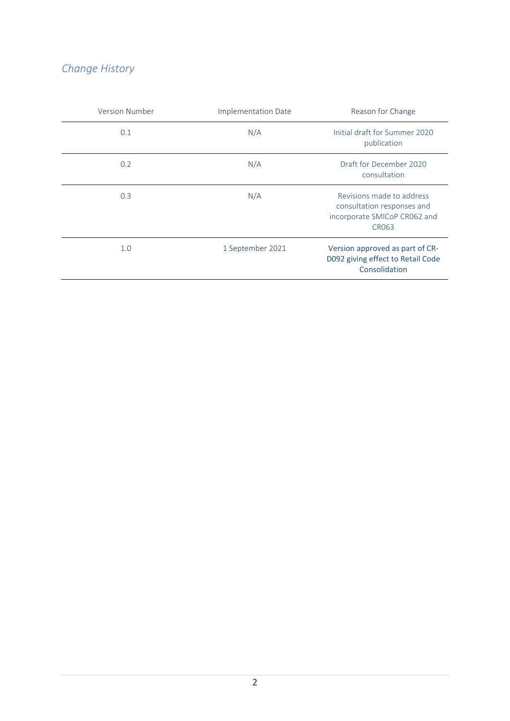# *Change History*

| <b>Version Number</b> | <b>Implementation Date</b> | Reason for Change                                                                                       |
|-----------------------|----------------------------|---------------------------------------------------------------------------------------------------------|
| 0.1                   | N/A                        | Initial draft for Summer 2020<br>publication                                                            |
| 0.2                   | N/A                        | Draft for December 2020<br>consultation                                                                 |
| 0.3                   | N/A                        | Revisions made to address<br>consultation responses and<br>incorporate SMICoP CR062 and<br><b>CR063</b> |
| 1.0                   | 1 September 2021           | Version approved as part of CR-<br>D092 giving effect to Retail Code<br>Consolidation                   |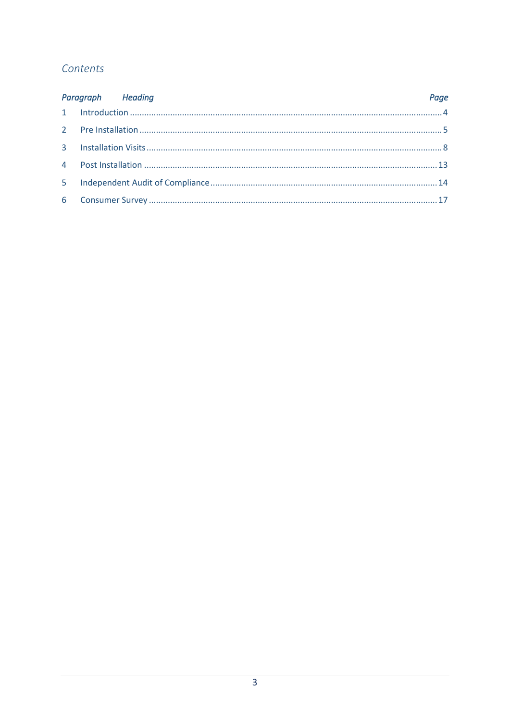# Contents

| Paragraph Heading | Page |
|-------------------|------|
|                   |      |
|                   |      |
|                   |      |
|                   |      |
|                   |      |
|                   |      |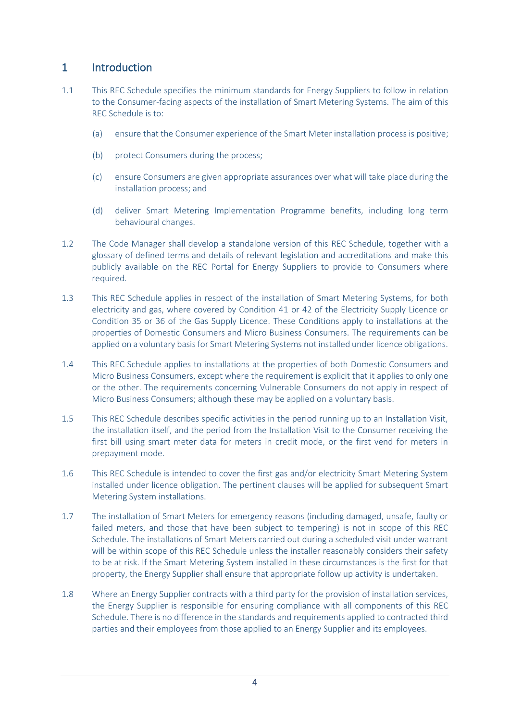# 1 Introduction

- 1.1 This REC Schedule specifies the minimum standards for Energy Suppliers to follow in relation to the Consumer-facing aspects of the installation of Smart Metering Systems. The aim of this REC Schedule is to:
	- (a) ensure that the Consumer experience of the Smart Meter installation process is positive;
	- (b) protect Consumers during the process;
	- (c) ensure Consumers are given appropriate assurances over what will take place during the installation process; and
	- (d) deliver Smart Metering Implementation Programme benefits, including long term behavioural changes.
- 1.2 The Code Manager shall develop a standalone version of this REC Schedule, together with a glossary of defined terms and details of relevant legislation and accreditations and make this publicly available on the REC Portal for Energy Suppliers to provide to Consumers where required.
- 1.3 This REC Schedule applies in respect of the installation of Smart Metering Systems, for both electricity and gas, where covered by Condition 41 or 42 of the Electricity Supply Licence or Condition 35 or 36 of the Gas Supply Licence. These Conditions apply to installations at the properties of Domestic Consumers and Micro Business Consumers. The requirements can be applied on a voluntary basis for Smart Metering Systems not installed under licence obligations.
- 1.4 This REC Schedule applies to installations at the properties of both Domestic Consumers and Micro Business Consumers, except where the requirement is explicit that it applies to only one or the other. The requirements concerning Vulnerable Consumers do not apply in respect of Micro Business Consumers; although these may be applied on a voluntary basis.
- 1.5 This REC Schedule describes specific activities in the period running up to an Installation Visit, the installation itself, and the period from the Installation Visit to the Consumer receiving the first bill using smart meter data for meters in credit mode, or the first vend for meters in prepayment mode.
- 1.6 This REC Schedule is intended to cover the first gas and/or electricity Smart Metering System installed under licence obligation. The pertinent clauses will be applied for subsequent Smart Metering System installations.
- 1.7 The installation of Smart Meters for emergency reasons (including damaged, unsafe, faulty or failed meters, and those that have been subject to tempering) is not in scope of this REC Schedule. The installations of Smart Meters carried out during a scheduled visit under warrant will be within scope of this REC Schedule unless the installer reasonably considers their safety to be at risk. If the Smart Metering System installed in these circumstances is the first for that property, the Energy Supplier shall ensure that appropriate follow up activity is undertaken.
- 1.8 Where an Energy Supplier contracts with a third party for the provision of installation services, the Energy Supplier is responsible for ensuring compliance with all components of this REC Schedule. There is no difference in the standards and requirements applied to contracted third parties and their employees from those applied to an Energy Supplier and its employees.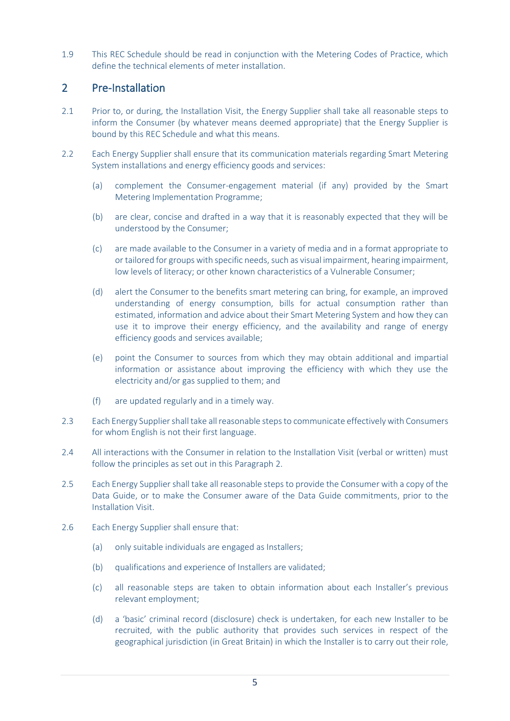1.9 This REC Schedule should be read in conjunction with the Metering Codes of Practice, which define the technical elements of meter installation.

# 2 Pre-Installation

- 2.1 Prior to, or during, the Installation Visit, the Energy Supplier shall take all reasonable steps to inform the Consumer (by whatever means deemed appropriate) that the Energy Supplier is bound by this REC Schedule and what this means.
- 2.2 Each Energy Supplier shall ensure that its communication materials regarding Smart Metering System installations and energy efficiency goods and services:
	- (a) complement the Consumer-engagement material (if any) provided by the Smart Metering Implementation Programme;
	- (b) are clear, concise and drafted in a way that it is reasonably expected that they will be understood by the Consumer;
	- (c) are made available to the Consumer in a variety of media and in a format appropriate to or tailored for groups with specific needs, such as visual impairment, hearing impairment, low levels of literacy; or other known characteristics of a Vulnerable Consumer;
	- (d) alert the Consumer to the benefits smart metering can bring, for example, an improved understanding of energy consumption, bills for actual consumption rather than estimated, information and advice about their Smart Metering System and how they can use it to improve their energy efficiency, and the availability and range of energy efficiency goods and services available;
	- (e) point the Consumer to sources from which they may obtain additional and impartial information or assistance about improving the efficiency with which they use the electricity and/or gas supplied to them; and
	- (f) are updated regularly and in a timely way.
- 2.3 Each Energy Supplier shall take all reasonable stepsto communicate effectively with Consumers for whom English is not their first language.
- 2.4 All interactions with the Consumer in relation to the Installation Visit (verbal or written) must follow the principles as set out in this Paragraph 2.
- 2.5 Each Energy Supplier shall take all reasonable steps to provide the Consumer with a copy of the Data Guide, or to make the Consumer aware of the Data Guide commitments, prior to the Installation Visit.
- 2.6 Each Energy Supplier shall ensure that:
	- (a) only suitable individuals are engaged as Installers;
	- (b) qualifications and experience of Installers are validated;
	- (c) all reasonable steps are taken to obtain information about each Installer's previous relevant employment;
	- (d) a 'basic' criminal record (disclosure) check is undertaken, for each new Installer to be recruited, with the public authority that provides such services in respect of the geographical jurisdiction (in Great Britain) in which the Installer is to carry out their role,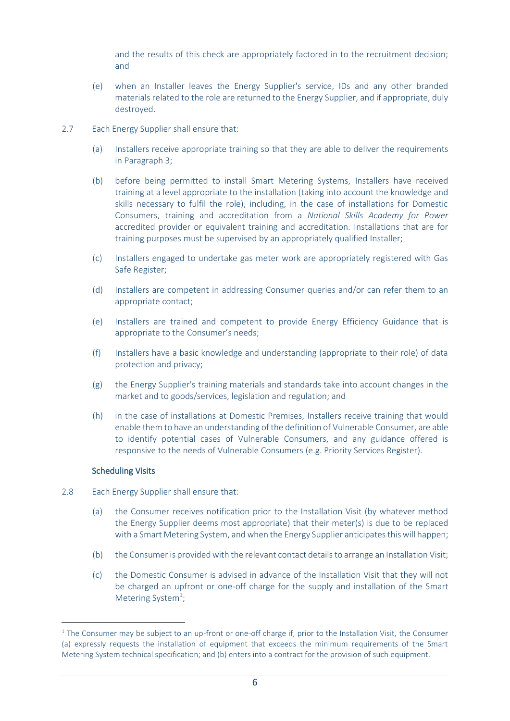and the results of this check are appropriately factored in to the recruitment decision; and

- (e) when an Installer leaves the Energy Supplier's service, IDs and any other branded materials related to the role are returned to the Energy Supplier, and if appropriate, duly destroyed.
- 2.7 Each Energy Supplier shall ensure that:
	- (a) Installers receive appropriate training so that they are able to deliver the requirements in Paragraph 3;
	- (b) before being permitted to install Smart Metering Systems, Installers have received training at a level appropriate to the installation (taking into account the knowledge and skills necessary to fulfil the role), including, in the case of installations for Domestic Consumers, training and accreditation from a *National Skills Academy for Power* accredited provider or equivalent training and accreditation. Installations that are for training purposes must be supervised by an appropriately qualified Installer;
	- (c) Installers engaged to undertake gas meter work are appropriately registered with Gas Safe Register;
	- (d) Installers are competent in addressing Consumer queries and/or can refer them to an appropriate contact;
	- (e) Installers are trained and competent to provide Energy Efficiency Guidance that is appropriate to the Consumer's needs;
	- (f) Installers have a basic knowledge and understanding (appropriate to their role) of data protection and privacy;
	- (g) the Energy Supplier's training materials and standards take into account changes in the market and to goods/services, legislation and regulation; and
	- (h) in the case of installations at Domestic Premises, Installers receive training that would enable them to have an understanding of the definition of Vulnerable Consumer, are able to identify potential cases of Vulnerable Consumers, and any guidance offered is responsive to the needs of Vulnerable Consumers (e.g. Priority Services Register).

#### Scheduling Visits

- <span id="page-5-0"></span>2.8 Each Energy Supplier shall ensure that:
	- (a) the Consumer receives notification prior to the Installation Visit (by whatever method the Energy Supplier deems most appropriate) that their meter(s) is due to be replaced with a Smart Metering System, and when the Energy Supplier anticipates this will happen;
	- (b) the Consumer is provided with the relevant contact details to arrange an Installation Visit;
	- (c) the Domestic Consumer is advised in advance of the Installation Visit that they will not be charged an upfront or one-off charge for the supply and installation of the Smart Metering System<sup>1</sup>;

<sup>&</sup>lt;sup>1</sup> The Consumer may be subject to an up-front or one-off charge if, prior to the Installation Visit, the Consumer (a) expressly requests the installation of equipment that exceeds the minimum requirements of the Smart Metering System technical specification; and (b) enters into a contract for the provision of such equipment.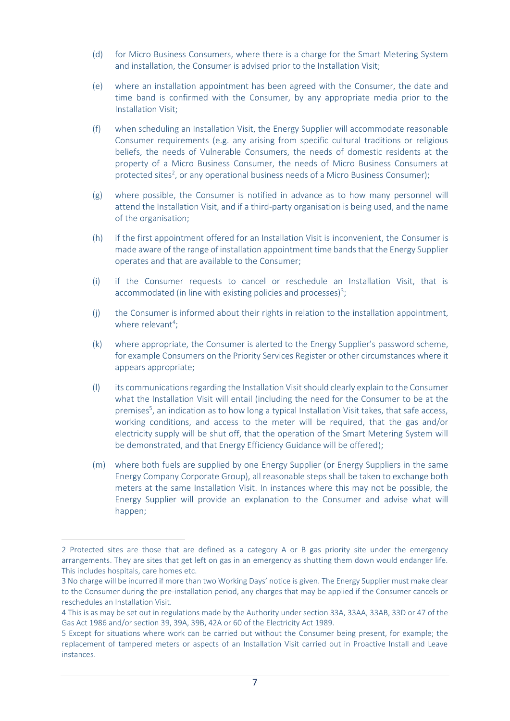- <span id="page-6-0"></span>(d) for Micro Business Consumers, where there is a charge for the Smart Metering System and installation, the Consumer is advised prior to the Installation Visit;
- (e) where an installation appointment has been agreed with the Consumer, the date and time band is confirmed with the Consumer, by any appropriate media prior to the Installation Visit;
- <span id="page-6-1"></span>(f) when scheduling an Installation Visit, the Energy Supplier will accommodate reasonable Consumer requirements (e.g. any arising from specific cultural traditions or religious beliefs, the needs of Vulnerable Consumers, the needs of domestic residents at the property of a Micro Business Consumer, the needs of Micro Business Consumers at protected sites<sup>2</sup>, or any operational business needs of a Micro Business Consumer);
- (g) where possible, the Consumer is notified in advance as to how many personnel will attend the Installation Visit, and if a third-party organisation is being used, and the name of the organisation;
- (h) if the first appointment offered for an Installation Visit is inconvenient, the Consumer is made aware of the range of installation appointment time bands that the Energy Supplier operates and that are available to the Consumer;
- (i) if the Consumer requests to cancel or reschedule an Installation Visit, that is accommodated (in line with existing policies and processes)<sup>3</sup>;
- (j) the Consumer is informed about their rights in relation to the installation appointment, where relevant<sup>4</sup>;
- (k) where appropriate, the Consumer is alerted to the Energy Supplier's password scheme, for example Consumers on the Priority Services Register or other circumstances where it appears appropriate;
- (l) its communications regarding the Installation Visit should clearly explain to the Consumer what the Installation Visit will entail (including the need for the Consumer to be at the premises<sup>5</sup>, an indication as to how long a typical Installation Visit takes, that safe access, working conditions, and access to the meter will be required, that the gas and/or electricity supply will be shut off, that the operation of the Smart Metering System will be demonstrated, and that Energy Efficiency Guidance will be offered);
- (m) where both fuels are supplied by one Energy Supplier (or Energy Suppliers in the same Energy Company Corporate Group), all reasonable steps shall be taken to exchange both meters at the same Installation Visit. In instances where this may not be possible, the Energy Supplier will provide an explanation to the Consumer and advise what will happen;

<sup>2</sup> Protected sites are those that are defined as a category A or B gas priority site under the emergency arrangements. They are sites that get left on gas in an emergency as shutting them down would endanger life. This includes hospitals, care homes etc.

<sup>3</sup> No charge will be incurred if more than two Working Days' notice is given. The Energy Supplier must make clear to the Consumer during the pre-installation period, any charges that may be applied if the Consumer cancels or reschedules an Installation Visit.

<sup>4</sup> This is as may be set out in regulations made by the Authority under section 33A, 33AA, 33AB, 33D or 47 of the Gas Act 1986 and/or section 39, 39A, 39B, 42A or 60 of the Electricity Act 1989.

<sup>5</sup> Except for situations where work can be carried out without the Consumer being present, for example; the replacement of tampered meters or aspects of an Installation Visit carried out in Proactive Install and Leave instances.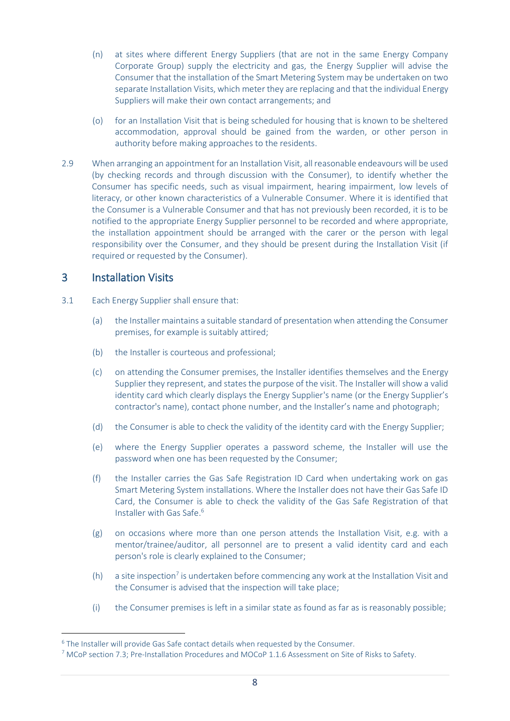- (n) at sites where different Energy Suppliers (that are not in the same Energy Company Corporate Group) supply the electricity and gas, the Energy Supplier will advise the Consumer that the installation of the Smart Metering System may be undertaken on two separate Installation Visits, which meter they are replacing and that the individual Energy Suppliers will make their own contact arrangements; and
- (o) for an Installation Visit that is being scheduled for housing that is known to be sheltered accommodation, approval should be gained from the warden, or other person in authority before making approaches to the residents.
- 2.9 When arranging an appointment for an Installation Visit, all reasonable endeavours will be used (by checking records and through discussion with the Consumer), to identify whether the Consumer has specific needs, such as visual impairment, hearing impairment, low levels of literacy, or other known characteristics of a Vulnerable Consumer. Where it is identified that the Consumer is a Vulnerable Consumer and that has not previously been recorded, it is to be notified to the appropriate Energy Supplier personnel to be recorded and where appropriate, the installation appointment should be arranged with the carer or the person with legal responsibility over the Consumer, and they should be present during the Installation Visit (if required or requested by the Consumer).

# <span id="page-7-0"></span>3 Installation Visits

- 3.1 Each Energy Supplier shall ensure that:
	- (a) the Installer maintains a suitable standard of presentation when attending the Consumer premises, for example is suitably attired;
	- (b) the Installer is courteous and professional:
	- (c) on attending the Consumer premises, the Installer identifies themselves and the Energy Supplier they represent, and states the purpose of the visit. The Installer will show a valid identity card which clearly displays the Energy Supplier's name (or the Energy Supplier's contractor's name), contact phone number, and the Installer's name and photograph;
	- (d) the Consumer is able to check the validity of the identity card with the Energy Supplier;
	- (e) where the Energy Supplier operates a password scheme, the Installer will use the password when one has been requested by the Consumer;
	- (f) the Installer carries the Gas Safe Registration ID Card when undertaking work on gas Smart Metering System installations. Where the Installer does not have their Gas Safe ID Card, the Consumer is able to check the validity of the Gas Safe Registration of that Installer with Gas Safe. 6
	- (g) on occasions where more than one person attends the Installation Visit, e.g. with a mentor/trainee/auditor, all personnel are to present a valid identity card and each person's role is clearly explained to the Consumer;
	- $(h)$  a site inspection<sup>7</sup> is undertaken before commencing any work at the Installation Visit and the Consumer is advised that the inspection will take place;
	- (i) the Consumer premises is left in a similar state as found as far as is reasonably possible;

<sup>&</sup>lt;sup>6</sup> The Installer will provide Gas Safe contact details when requested by the Consumer.

<sup>7</sup> MCoP section 7.3; Pre-Installation Procedures and MOCoP 1.1.6 Assessment on Site of Risks to Safety.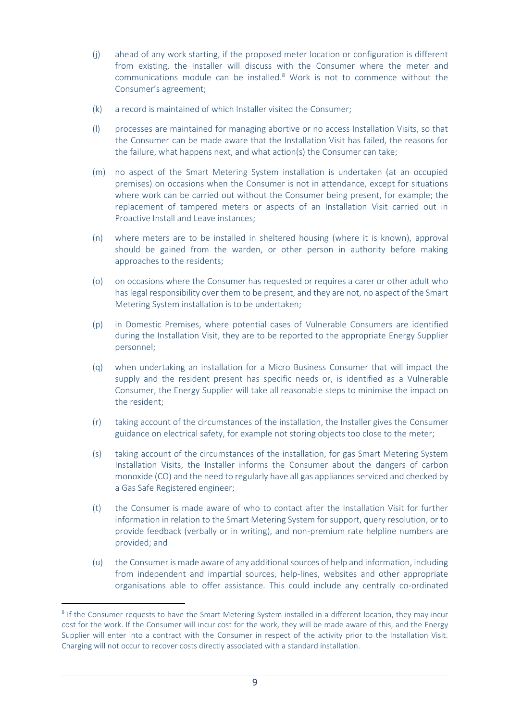- (j) ahead of any work starting, if the proposed meter location or configuration is different from existing, the Installer will discuss with the Consumer where the meter and communications module can be installed. <sup>8</sup> Work is not to commence without the Consumer's agreement;
- (k) a record is maintained of which Installer visited the Consumer;
- (l) processes are maintained for managing abortive or no access Installation Visits, so that the Consumer can be made aware that the Installation Visit has failed, the reasons for the failure, what happens next, and what action(s) the Consumer can take;
- (m) no aspect of the Smart Metering System installation is undertaken (at an occupied premises) on occasions when the Consumer is not in attendance, except for situations where work can be carried out without the Consumer being present, for example; the replacement of tampered meters or aspects of an Installation Visit carried out in Proactive Install and Leave instances;
- (n) where meters are to be installed in sheltered housing (where it is known), approval should be gained from the warden, or other person in authority before making approaches to the residents;
- (o) on occasions where the Consumer has requested or requires a carer or other adult who has legal responsibility over them to be present, and they are not, no aspect of the Smart Metering System installation is to be undertaken;
- (p) in Domestic Premises, where potential cases of Vulnerable Consumers are identified during the Installation Visit, they are to be reported to the appropriate Energy Supplier personnel;
- <span id="page-8-0"></span>(q) when undertaking an installation for a Micro Business Consumer that will impact the supply and the resident present has specific needs or, is identified as a Vulnerable Consumer, the Energy Supplier will take all reasonable steps to minimise the impact on the resident;
- (r) taking account of the circumstances of the installation, the Installer gives the Consumer guidance on electrical safety, for example not storing objects too close to the meter;
- (s) taking account of the circumstances of the installation, for gas Smart Metering System Installation Visits, the Installer informs the Consumer about the dangers of carbon monoxide (CO) and the need to regularly have all gas appliances serviced and checked by a Gas Safe Registered engineer;
- (t) the Consumer is made aware of who to contact after the Installation Visit for further information in relation to the Smart Metering System for support, query resolution, or to provide feedback (verbally or in writing), and non-premium rate helpline numbers are provided; and
- (u) the Consumer is made aware of any additional sources of help and information, including from independent and impartial sources, help-lines, websites and other appropriate organisations able to offer assistance. This could include any centrally co-ordinated

<sup>&</sup>lt;sup>8</sup> If the Consumer requests to have the Smart Metering System installed in a different location, they may incur cost for the work. If the Consumer will incur cost for the work, they will be made aware of this, and the Energy Supplier will enter into a contract with the Consumer in respect of the activity prior to the Installation Visit. Charging will not occur to recover costs directly associated with a standard installation.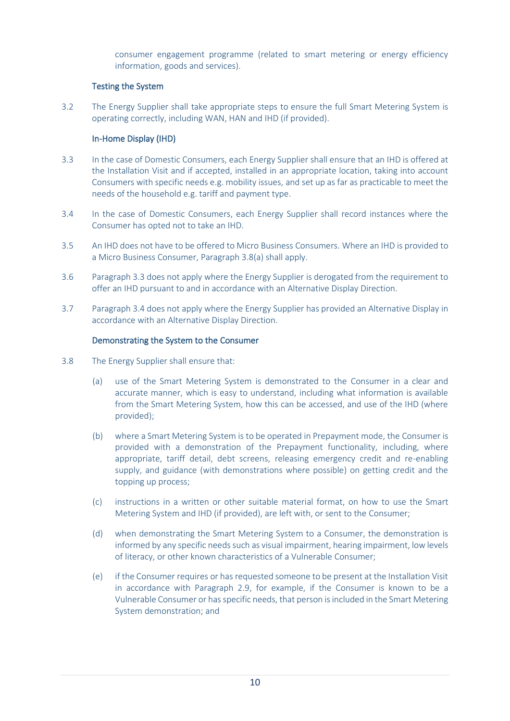consumer engagement programme (related to smart metering or energy efficiency information, goods and services).

### Testing the System

3.2 The Energy Supplier shall take appropriate steps to ensure the full Smart Metering System is operating correctly, including WAN, HAN and IHD (if provided).

## In-Home Display (IHD)

- <span id="page-9-0"></span>3.3 In the case of Domestic Consumers, each Energy Supplier shall ensure that an IHD is offered at the Installation Visit and if accepted, installed in an appropriate location, taking into account Consumers with specific needs e.g. mobility issues, and set up as far as practicable to meet the needs of the household e.g. tariff and payment type.
- 3.4 In the case of Domestic Consumers, each Energy Supplier shall record instances where the Consumer has opted not to take an IHD.
- 3.5 An IHD does not have to be offered to Micro Business Consumers. Where an IHD is provided to a Micro Business Consumer, Paragraph 3.8(a) shall apply.
- 3.6 Paragraph 3.3 does not apply where the Energy Supplier is derogated from the requirement to offer an IHD pursuant to and in accordance with an Alternative Display Direction.
- <span id="page-9-1"></span>3.7 Paragraph 3.4 does not apply where the Energy Supplier has provided an Alternative Display in accordance with an Alternative Display Direction.

### Demonstrating the System to the Consumer

- <span id="page-9-2"></span>3.8 The Energy Supplier shall ensure that:
	- (a) use of the Smart Metering System is demonstrated to the Consumer in a clear and accurate manner, which is easy to understand, including what information is available from the Smart Metering System, how this can be accessed, and use of the IHD (where provided);
	- (b) where a Smart Metering System is to be operated in Prepayment mode, the Consumer is provided with a demonstration of the Prepayment functionality, including, where appropriate, tariff detail, debt screens, releasing emergency credit and re-enabling supply, and guidance (with demonstrations where possible) on getting credit and the topping up process;
	- (c) instructions in a written or other suitable material format, on how to use the Smart Metering System and IHD (if provided), are left with, or sent to the Consumer;
	- (d) when demonstrating the Smart Metering System to a Consumer, the demonstration is informed by any specific needs such as visual impairment, hearing impairment, low levels of literacy, or other known characteristics of a Vulnerable Consumer;
	- (e) if the Consumer requires or has requested someone to be present at the Installation Visit in accordance with Paragraph 2.9, for example, if the Consumer is known to be a Vulnerable Consumer or hasspecific needs, that person is included in the Smart Metering System demonstration; and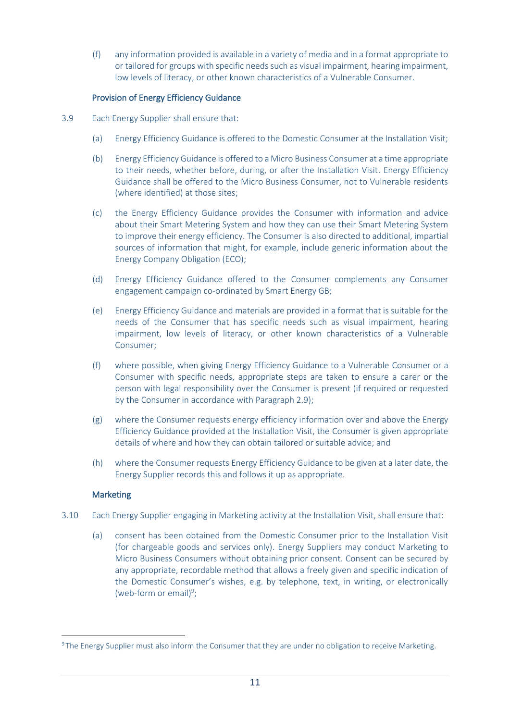(f) any information provided is available in a variety of media and in a format appropriate to or tailored for groups with specific needs such as visual impairment, hearing impairment, low levels of literacy, or other known characteristics of a Vulnerable Consumer.

### Provision of Energy Efficiency Guidance

- <span id="page-10-0"></span>3.9 Each Energy Supplier shall ensure that:
	- (a) Energy Efficiency Guidance is offered to the Domestic Consumer at the Installation Visit;
	- (b) Energy Efficiency Guidance is offered to a Micro Business Consumer at a time appropriate to their needs, whether before, during, or after the Installation Visit. Energy Efficiency Guidance shall be offered to the Micro Business Consumer, not to Vulnerable residents (where identified) at those sites;
	- (c) the Energy Efficiency Guidance provides the Consumer with information and advice about their Smart Metering System and how they can use their Smart Metering System to improve their energy efficiency. The Consumer is also directed to additional, impartial sources of information that might, for example, include generic information about the Energy Company Obligation (ECO);
	- (d) Energy Efficiency Guidance offered to the Consumer complements any Consumer engagement campaign co-ordinated by Smart Energy GB;
	- (e) Energy Efficiency Guidance and materials are provided in a format that is suitable for the needs of the Consumer that has specific needs such as visual impairment, hearing impairment, low levels of literacy, or other known characteristics of a Vulnerable Consumer;
	- (f) where possible, when giving Energy Efficiency Guidance to a Vulnerable Consumer or a Consumer with specific needs, appropriate steps are taken to ensure a carer or the person with legal responsibility over the Consumer is present (if required or requested by the Consumer in accordance with Paragraph 2.9);
	- (g) where the Consumer requests energy efficiency information over and above the Energy Efficiency Guidance provided at the Installation Visit, the Consumer is given appropriate details of where and how they can obtain tailored or suitable advice; and
	- (h) where the Consumer requests Energy Efficiency Guidance to be given at a later date, the Energy Supplier records this and follows it up as appropriate.

## Marketing

- 3.10 Each Energy Supplier engaging in Marketing activity at the Installation Visit, shall ensure that:
	- (a) consent has been obtained from the Domestic Consumer prior to the Installation Visit (for chargeable goods and services only). Energy Suppliers may conduct Marketing to Micro Business Consumers without obtaining prior consent. Consent can be secured by any appropriate, recordable method that allows a freely given and specific indication of the Domestic Consumer's wishes, e.g. by telephone, text, in writing, or electronically (web-form or email) $9$ ;

<sup>&</sup>lt;sup>9</sup> The Energy Supplier must also inform the Consumer that they are under no obligation to receive Marketing.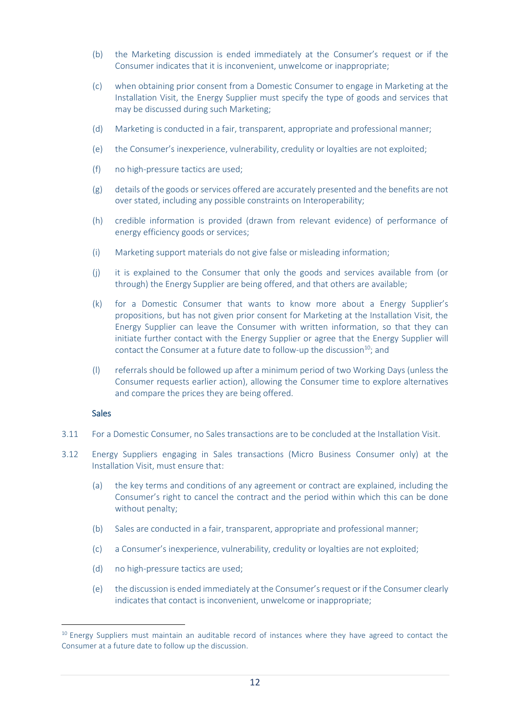- (b) the Marketing discussion is ended immediately at the Consumer's request or if the Consumer indicates that it is inconvenient, unwelcome or inappropriate;
- (c) when obtaining prior consent from a Domestic Consumer to engage in Marketing at the Installation Visit, the Energy Supplier must specify the type of goods and services that may be discussed during such Marketing;
- (d) Marketing is conducted in a fair, transparent, appropriate and professional manner;
- (e) the Consumer's inexperience, vulnerability, credulity or loyalties are not exploited;
- (f) no high-pressure tactics are used;
- (g) details of the goods or services offered are accurately presented and the benefits are not over stated, including any possible constraints on Interoperability;
- (h) credible information is provided (drawn from relevant evidence) of performance of energy efficiency goods or services;
- (i) Marketing support materials do not give false or misleading information;
- (j) it is explained to the Consumer that only the goods and services available from (or through) the Energy Supplier are being offered, and that others are available;
- (k) for a Domestic Consumer that wants to know more about a Energy Supplier's propositions, but has not given prior consent for Marketing at the Installation Visit, the Energy Supplier can leave the Consumer with written information, so that they can initiate further contact with the Energy Supplier or agree that the Energy Supplier will contact the Consumer at a future date to follow-up the discussion $^{10}$ ; and
- (l) referrals should be followed up after a minimum period of two Working Days (unless the Consumer requests earlier action), allowing the Consumer time to explore alternatives and compare the prices they are being offered.

#### Sales

- 3.11 For a Domestic Consumer, no Sales transactions are to be concluded at the Installation Visit.
- 3.12 Energy Suppliers engaging in Sales transactions (Micro Business Consumer only) at the Installation Visit, must ensure that:
	- (a) the key terms and conditions of any agreement or contract are explained, including the Consumer's right to cancel the contract and the period within which this can be done without penalty;
	- (b) Sales are conducted in a fair, transparent, appropriate and professional manner;
	- (c) a Consumer's inexperience, vulnerability, credulity or loyalties are not exploited;
	- (d) no high-pressure tactics are used;
	- (e) the discussion is ended immediately at the Consumer'srequest or if the Consumer clearly indicates that contact is inconvenient, unwelcome or inappropriate;

<sup>&</sup>lt;sup>10</sup> Energy Suppliers must maintain an auditable record of instances where they have agreed to contact the Consumer at a future date to follow up the discussion.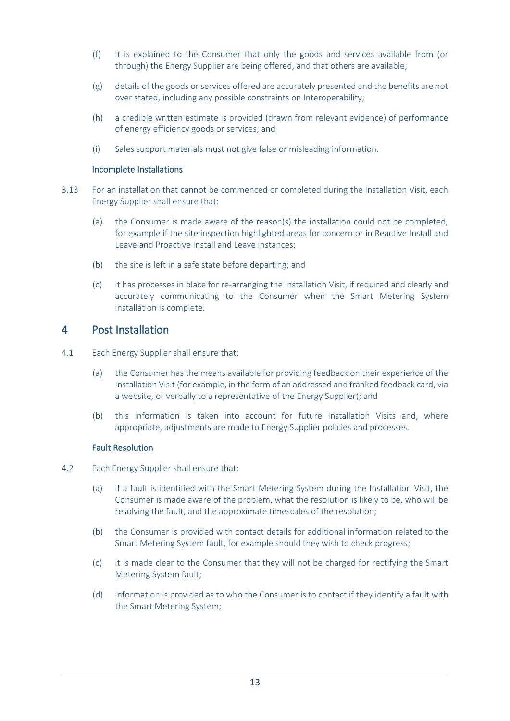- (f) it is explained to the Consumer that only the goods and services available from (or through) the Energy Supplier are being offered, and that others are available;
- (g) details of the goods or services offered are accurately presented and the benefits are not over stated, including any possible constraints on Interoperability;
- (h) a credible written estimate is provided (drawn from relevant evidence) of performance of energy efficiency goods or services; and
- (i) Sales support materials must not give false or misleading information.

#### Incomplete Installations

- 3.13 For an installation that cannot be commenced or completed during the Installation Visit, each Energy Supplier shall ensure that:
	- (a) the Consumer is made aware of the reason(s) the installation could not be completed, for example if the site inspection highlighted areas for concern or in Reactive Install and Leave and Proactive Install and Leave instances;
	- (b) the site is left in a safe state before departing; and
	- (c) it has processes in place for re-arranging the Installation Visit, if required and clearly and accurately communicating to the Consumer when the Smart Metering System installation is complete.

## <span id="page-12-0"></span>4 Post Installation

- 4.1 Each Energy Supplier shall ensure that:
	- (a) the Consumer has the means available for providing feedback on their experience of the Installation Visit (for example, in the form of an addressed and franked feedback card, via a website, or verbally to a representative of the Energy Supplier); and
	- (b) this information is taken into account for future Installation Visits and, where appropriate, adjustments are made to Energy Supplier policies and processes.

### Fault Resolution

- 4.2 Each Energy Supplier shall ensure that:
	- (a) if a fault is identified with the Smart Metering System during the Installation Visit, the Consumer is made aware of the problem, what the resolution is likely to be, who will be resolving the fault, and the approximate timescales of the resolution;
	- (b) the Consumer is provided with contact details for additional information related to the Smart Metering System fault, for example should they wish to check progress;
	- (c) it is made clear to the Consumer that they will not be charged for rectifying the Smart Metering System fault;
	- (d) information is provided as to who the Consumer is to contact if they identify a fault with the Smart Metering System;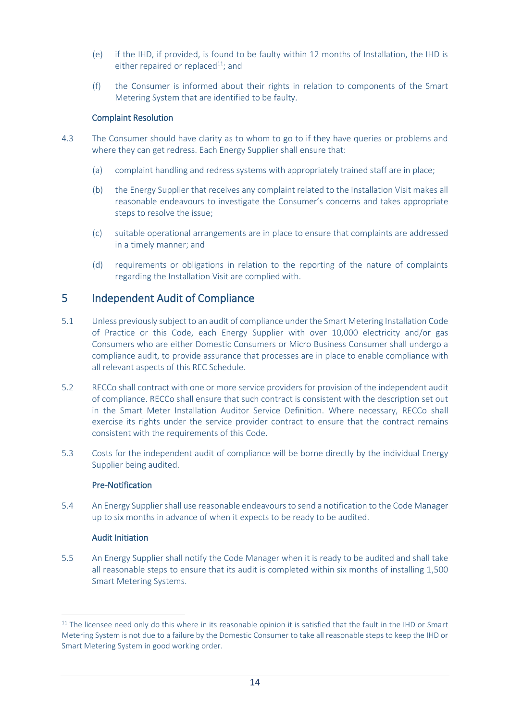- (e) if the IHD, if provided, is found to be faulty within 12 months of Installation, the IHD is either repaired or replaced $11$ ; and
- (f) the Consumer is informed about their rights in relation to components of the Smart Metering System that are identified to be faulty.

### Complaint Resolution

- 4.3 The Consumer should have clarity as to whom to go to if they have queries or problems and where they can get redress. Each Energy Supplier shall ensure that:
	- (a) complaint handling and redress systems with appropriately trained staff are in place;
	- (b) the Energy Supplier that receives any complaint related to the Installation Visit makes all reasonable endeavours to investigate the Consumer's concerns and takes appropriate steps to resolve the issue;
	- (c) suitable operational arrangements are in place to ensure that complaints are addressed in a timely manner; and
	- (d) requirements or obligations in relation to the reporting of the nature of complaints regarding the Installation Visit are complied with.

# 5 Independent Audit of Compliance

- 5.1 Unless previously subject to an audit of compliance under the Smart Metering Installation Code of Practice or this Code, each Energy Supplier with over 10,000 electricity and/or gas Consumers who are either Domestic Consumers or Micro Business Consumer shall undergo a compliance audit, to provide assurance that processes are in place to enable compliance with all relevant aspects of this REC Schedule.
- 5.2 RECCo shall contract with one or more service providers for provision of the independent audit of compliance. RECCo shall ensure that such contract is consistent with the description set out in the Smart Meter Installation Auditor Service Definition. Where necessary, RECCo shall exercise its rights under the service provider contract to ensure that the contract remains consistent with the requirements of this Code.
- 5.3 Costs for the independent audit of compliance will be borne directly by the individual Energy Supplier being audited.

## Pre-Notification

5.4 An Energy Suppliershall use reasonable endeavours to send a notification to the Code Manager up to six months in advance of when it expects to be ready to be audited.

### Audit Initiation

5.5 An Energy Supplier shall notify the Code Manager when it is ready to be audited and shall take all reasonable steps to ensure that its audit is completed within six months of installing 1,500 Smart Metering Systems.

<sup>&</sup>lt;sup>11</sup> The licensee need only do this where in its reasonable opinion it is satisfied that the fault in the IHD or Smart Metering System is not due to a failure by the Domestic Consumer to take all reasonable steps to keep the IHD or Smart Metering System in good working order.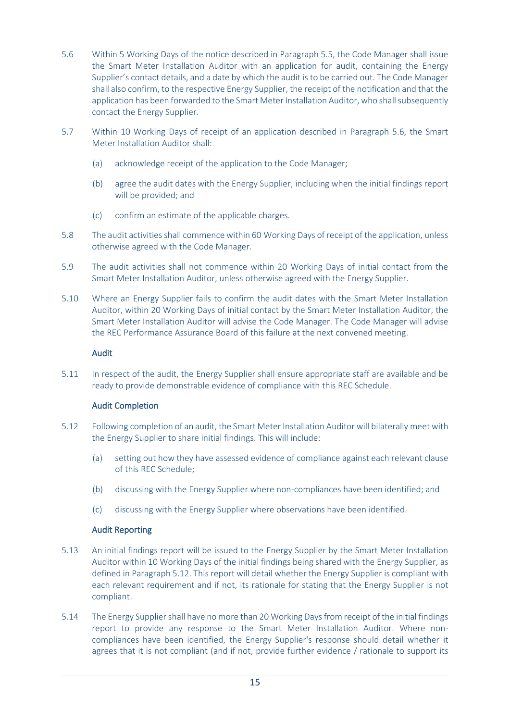- 5.6 Within 5 Working Days of the notice described in Paragraph 5.5, the Code Manager shall issue the Smart Meter Installation Auditor with an application for audit, containing the Energy Supplier's contact details, and a date by which the audit is to be carried out. The Code Manager shall also confirm, to the respective Energy Supplier, the receipt of the notification and that the application has been forwarded to the Smart Meter Installation Auditor, who shall subsequently contact the Energy Supplier.
- 5.7 Within 10 Working Days of receipt of an application described in Paragraph 5.6, the Smart Meter Installation Auditor shall:
	- (a) acknowledge receipt of the application to the Code Manager;
	- (b) agree the audit dates with the Energy Supplier, including when the initial findings report will be provided; and
	- (c) confirm an estimate of the applicable charges.
- 5.8 The audit activities shall commence within 60 Working Days of receipt of the application, unless otherwise agreed with the Code Manager.
- 5.9 The audit activities shall not commence within 20 Working Days of initial contact from the Smart Meter Installation Auditor, unless otherwise agreed with the Energy Supplier.
- 5.10 Where an Energy Supplier fails to confirm the audit dates with the Smart Meter Installation Auditor, within 20 Working Days of initial contact by the Smart Meter Installation Auditor, the Smart Meter Installation Auditor will advise the Code Manager. The Code Manager will advise the REC Performance Assurance Board of this failure at the next convened meeting.

### Audit

5.11 In respect of the audit, the Energy Supplier shall ensure appropriate staff are available and be ready to provide demonstrable evidence of compliance with this REC Schedule.

### Audit Completion

- 5.12 Following completion of an audit, the Smart Meter Installation Auditor will bilaterally meet with the Energy Supplier to share initial findings. This will include:
	- (a) setting out how they have assessed evidence of compliance against each relevant clause of this REC Schedule;
	- (b) discussing with the Energy Supplier where non-compliances have been identified; and
	- (c) discussing with the Energy Supplier where observations have been identified.

### Audit Reporting

- <span id="page-14-0"></span>5.13 An initial findings report will be issued to the Energy Supplier by the Smart Meter Installation Auditor within 10 Working Days of the initial findings being shared with the Energy Supplier, as defined in Paragraph 5.12. This report will detail whether the Energy Supplier is compliant with each relevant requirement and if not, its rationale for stating that the Energy Supplier is not compliant.
- 5.14 The Energy Suppliershall have no more than 20 Working Days from receipt of the initial findings report to provide any response to the Smart Meter Installation Auditor. Where noncompliances have been identified, the Energy Supplier's response should detail whether it agrees that it is not compliant (and if not, provide further evidence / rationale to support its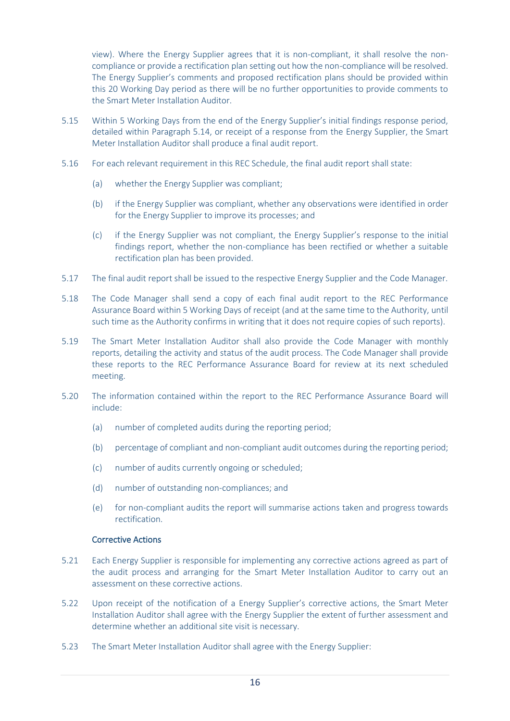view). Where the Energy Supplier agrees that it is non-compliant, it shall resolve the noncompliance or provide a rectification plan setting out how the non-compliance will be resolved. The Energy Supplier's comments and proposed rectification plans should be provided within this 20 Working Day period as there will be no further opportunities to provide comments to the Smart Meter Installation Auditor.

- 5.15 Within 5 Working Days from the end of the Energy Supplier's initial findings response period, detailed within Paragraph 5.14, or receipt of a response from the Energy Supplier, the Smart Meter Installation Auditor shall produce a final audit report.
- 5.16 For each relevant requirement in this REC Schedule, the final audit report shall state:
	- (a) whether the Energy Supplier was compliant;
	- (b) if the Energy Supplier was compliant, whether any observations were identified in order for the Energy Supplier to improve its processes; and
	- (c) if the Energy Supplier was not compliant, the Energy Supplier's response to the initial findings report, whether the non-compliance has been rectified or whether a suitable rectification plan has been provided.
- 5.17 The final audit report shall be issued to the respective Energy Supplier and the Code Manager.
- <span id="page-15-0"></span>5.18 The Code Manager shall send a copy of each final audit report to the REC Performance Assurance Board within 5 Working Days of receipt (and at the same time to the Authority, until such time as the Authority confirms in writing that it does not require copies of such reports).
- 5.19 The Smart Meter Installation Auditor shall also provide the Code Manager with monthly reports, detailing the activity and status of the audit process. The Code Manager shall provide these reports to the REC Performance Assurance Board for review at its next scheduled meeting.
- 5.20 The information contained within the report to the REC Performance Assurance Board will include:
	- (a) number of completed audits during the reporting period;
	- (b) percentage of compliant and non-compliant audit outcomes during the reporting period;
	- (c) number of audits currently ongoing or scheduled;
	- (d) number of outstanding non-compliances; and
	- (e) for non-compliant audits the report will summarise actions taken and progress towards rectification.

### Corrective Actions

- 5.21 Each Energy Supplier is responsible for implementing any corrective actions agreed as part of the audit process and arranging for the Smart Meter Installation Auditor to carry out an assessment on these corrective actions.
- 5.22 Upon receipt of the notification of a Energy Supplier's corrective actions, the Smart Meter Installation Auditor shall agree with the Energy Supplier the extent of further assessment and determine whether an additional site visit is necessary.
- 5.23 The Smart Meter Installation Auditor shall agree with the Energy Supplier: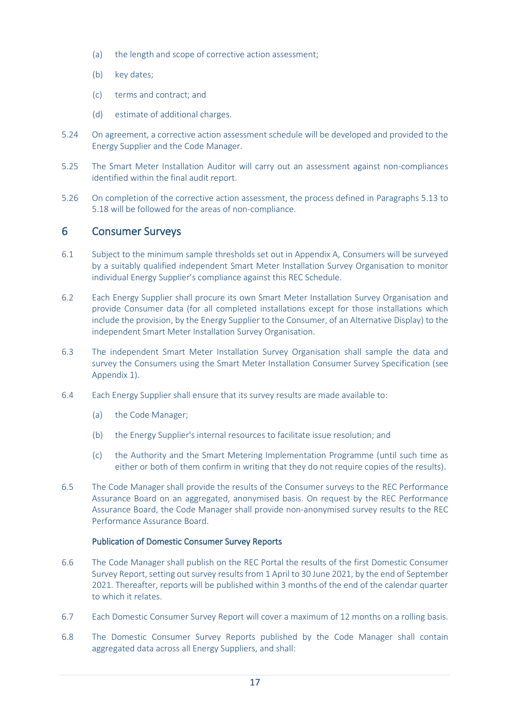- (a) the length and scope of corrective action assessment;
- (b) key dates;
- (c) terms and contract; and
- (d) estimate of additional charges.
- 5.24 On agreement, a corrective action assessment schedule will be developed and provided to the Energy Supplier and the Code Manager.
- 5.25 The Smart Meter Installation Auditor will carry out an assessment against non-compliances identified within the final audit report.
- 5.26 On completion of the corrective action assessment, the process defined in Paragraphs [5.13](#page-14-0) to [5.18](#page-15-0) will be followed for the areas of non-compliance.

## 6 Consumer Surveys

- 6.1 Subject to the minimum sample thresholds set out in Appendix A, Consumers will be surveyed by a suitably qualified independent Smart Meter Installation Survey Organisation to monitor individual Energy Supplier's compliance against this REC Schedule.
- 6.2 Each Energy Supplier shall procure its own Smart Meter Installation Survey Organisation and provide Consumer data (for all completed installations except for those installations which include the provision, by the Energy Supplier to the Consumer, of an Alternative Display) to the independent Smart Meter Installation Survey Organisation.
- 6.3 The independent Smart Meter Installation Survey Organisation shall sample the data and survey the Consumers using the Smart Meter Installation Consumer Survey Specification (see Appendix 1).
- 6.4 Each Energy Supplier shall ensure that its survey results are made available to:
	- (a) the Code Manager;
	- (b) the Energy Supplier's internal resources to facilitate issue resolution; and
	- (c) the Authority and the Smart Metering Implementation Programme (until such time as either or both of them confirm in writing that they do not require copies of the results).
- 6.5 The Code Manager shall provide the results of the Consumer surveys to the REC Performance Assurance Board on an aggregated, anonymised basis. On request by the REC Performance Assurance Board, the Code Manager shall provide non-anonymised survey results to the REC Performance Assurance Board.

#### Publication of Domestic Consumer Survey Reports

- 6.6 The Code Manager shall publish on the REC Portal the results of the first Domestic Consumer Survey Report, setting out survey results from 1 April to 30 June 2021, by the end of September 2021. Thereafter, reports will be published within 3 months of the end of the calendar quarter to which it relates.
- 6.7 Each Domestic Consumer Survey Report will cover a maximum of 12 months on a rolling basis.
- 6.8 The Domestic Consumer Survey Reports published by the Code Manager shall contain aggregated data across all Energy Suppliers, and shall: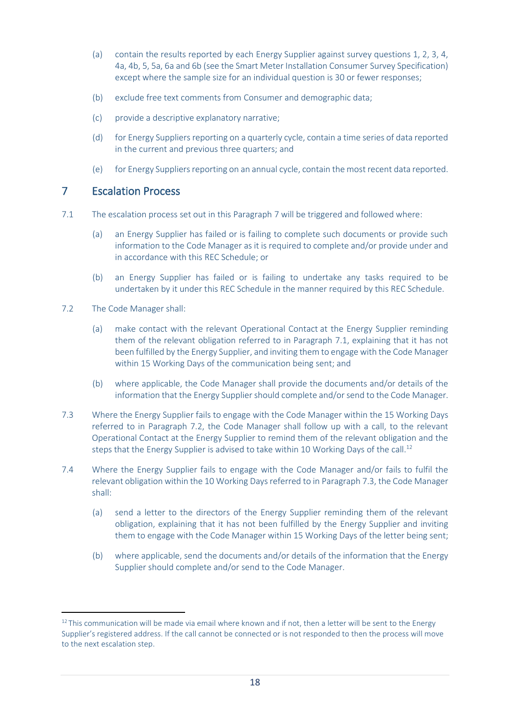- (a) contain the results reported by each Energy Supplier against survey questions 1, 2, 3, 4, 4a, 4b, 5, 5a, 6a and 6b (see the Smart Meter Installation Consumer Survey Specification) except where the sample size for an individual question is 30 or fewer responses;
- (b) exclude free text comments from Consumer and demographic data;
- (c) provide a descriptive explanatory narrative;
- (d) for Energy Suppliers reporting on a quarterly cycle, contain a time series of data reported in the current and previous three quarters; and
- (e) for Energy Suppliers reporting on an annual cycle, contain the most recent data reported.

# <span id="page-17-0"></span>7 Escalation Process

- <span id="page-17-1"></span>7.1 The escalation process set out in this Paragraph [7](#page-17-0) will be triggered and followed where:
	- (a) an Energy Supplier has failed or is failing to complete such documents or provide such information to the Code Manager as it is required to complete and/or provide under and in accordance with this REC Schedule; or
	- (b) an Energy Supplier has failed or is failing to undertake any tasks required to be undertaken by it under this REC Schedule in the manner required by this REC Schedule.
- <span id="page-17-2"></span>7.2 The Code Manager shall:
	- (a) make contact with the relevant Operational Contact at the Energy Supplier reminding them of the relevant obligation referred to in Paragraph [7.1,](#page-17-1) explaining that it has not been fulfilled by the Energy Supplier, and inviting them to engage with the Code Manager within 15 Working Days of the communication being sent; and
	- (b) where applicable, the Code Manager shall provide the documents and/or details of the information that the Energy Supplier should complete and/or send to the Code Manager.
- <span id="page-17-3"></span>7.3 Where the Energy Supplier fails to engage with the Code Manager within the 15 Working Days referred to in Paragraph [7.2,](#page-17-2) the Code Manager shall follow up with a call, to the relevant Operational Contact at the Energy Supplier to remind them of the relevant obligation and the steps that the Energy Supplier is advised to take within 10 Working Days of the call.<sup>12</sup>
- <span id="page-17-4"></span>7.4 Where the Energy Supplier fails to engage with the Code Manager and/or fails to fulfil the relevant obligation within the 10 Working Days referred to in Paragrap[h 7.3,](#page-17-3) the Code Manager shall:
	- (a) send a letter to the directors of the Energy Supplier reminding them of the relevant obligation, explaining that it has not been fulfilled by the Energy Supplier and inviting them to engage with the Code Manager within 15 Working Days of the letter being sent;
	- (b) where applicable, send the documents and/or details of the information that the Energy Supplier should complete and/or send to the Code Manager.

<sup>&</sup>lt;sup>12</sup> This communication will be made via email where known and if not, then a letter will be sent to the Energy Supplier's registered address. If the call cannot be connected or is not responded to then the process will move to the next escalation step.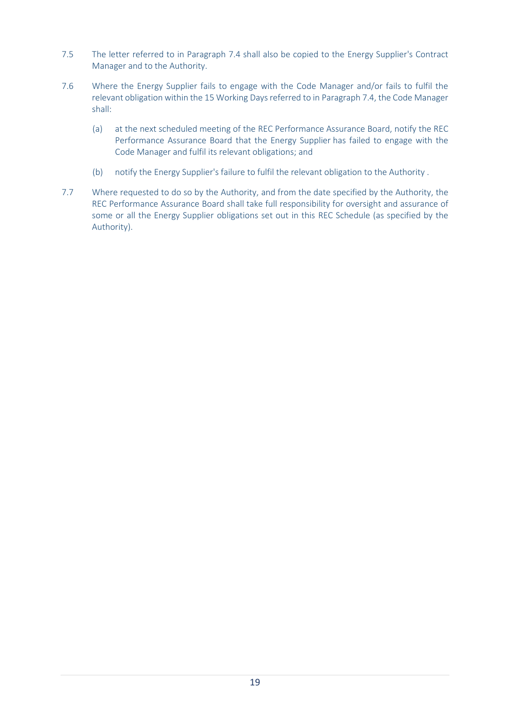- 7.5 The letter referred to in Paragraph [7.4](#page-17-4) shall also be copied to the Energy Supplier's Contract Manager and to the Authority.
- 7.6 Where the Energy Supplier fails to engage with the Code Manager and/or fails to fulfil the relevant obligation within the 15 Working Days referred to in Paragrap[h 7.4,](#page-17-4) the Code Manager shall:
	- (a) at the next scheduled meeting of the REC Performance Assurance Board, notify the REC Performance Assurance Board that the Energy Supplier has failed to engage with the Code Manager and fulfil its relevant obligations; and
	- (b) notify the Energy Supplier's failure to fulfil the relevant obligation to the Authority .
- 7.7 Where requested to do so by the Authority, and from the date specified by the Authority, the REC Performance Assurance Board shall take full responsibility for oversight and assurance of some or all the Energy Supplier obligations set out in this REC Schedule (as specified by the Authority).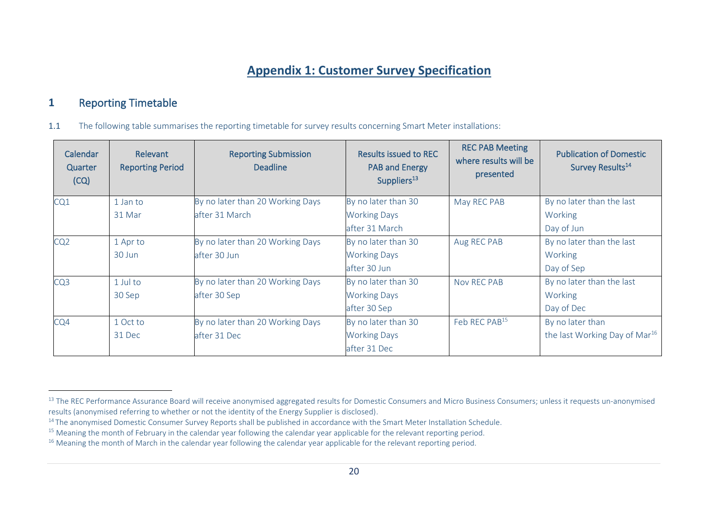# **Appendix 1: Customer Survey Specification**

# **1** Reporting Timetable

1.1 The following table summarises the reporting timetable for survey results concerning Smart Meter installations:

| Calendar<br>Quarter<br>(CQ) | <b>Relevant</b><br><b>Reporting Period</b> | <b>Reporting Submission</b><br><b>Deadline</b> | <b>Results issued to REC</b><br><b>PAB and Energy</b><br>Suppliers <sup>13</sup> | <b>REC PAB Meeting</b><br>where results will be<br>presented | <b>Publication of Domestic</b><br>Survey Results <sup>14</sup> |
|-----------------------------|--------------------------------------------|------------------------------------------------|----------------------------------------------------------------------------------|--------------------------------------------------------------|----------------------------------------------------------------|
| CQ1                         | 1 Jan to                                   | By no later than 20 Working Days               | By no later than 30                                                              | May REC PAB                                                  | By no later than the last                                      |
|                             | 31 Mar                                     | after 31 March                                 | <b>Working Days</b>                                                              |                                                              | Working                                                        |
|                             |                                            |                                                | after 31 March                                                                   |                                                              | Day of Jun                                                     |
| CQ <sub>2</sub>             | 1 Apr to                                   | By no later than 20 Working Days               | By no later than 30                                                              | Aug REC PAB                                                  | By no later than the last                                      |
|                             | 30 Jun                                     | after 30 Jun                                   | <b>Working Days</b>                                                              |                                                              | Working                                                        |
|                             |                                            |                                                | after 30 Jun                                                                     |                                                              | Day of Sep                                                     |
| CQ <sub>3</sub>             | 1 Jul to                                   | By no later than 20 Working Days               | By no later than 30                                                              | Nov REC PAB                                                  | By no later than the last                                      |
|                             | 30 Sep                                     | after 30 Sep                                   | <b>Working Days</b>                                                              |                                                              | Working                                                        |
|                             |                                            |                                                | after 30 Sep                                                                     |                                                              | Day of Dec                                                     |
| CQ4                         | 1 Oct to                                   | By no later than 20 Working Days               | By no later than 30                                                              | Feb REC PAB <sup>15</sup>                                    | By no later than                                               |
|                             | 31 Dec                                     | after 31 Dec                                   | <b>Working Days</b>                                                              |                                                              | the last Working Day of Mar <sup>16</sup>                      |
|                             |                                            |                                                | after 31 Dec                                                                     |                                                              |                                                                |

<span id="page-19-0"></span><sup>&</sup>lt;sup>13</sup> The REC Performance Assurance Board will receive anonymised aggregated results for Domestic Consumers and Micro Business Consumers; unless it requests un-anonymised results (anonymised referring to whether or not the identity of the Energy Supplier is disclosed).

<sup>&</sup>lt;sup>14</sup> The anonymised Domestic Consumer Survey Reports shall be published in accordance with the Smart Meter Installation Schedule.

<sup>&</sup>lt;sup>15</sup> Meaning the month of February in the calendar year following the calendar year applicable for the relevant reporting period.

<sup>&</sup>lt;sup>16</sup> Meaning the month of March in the calendar year following the calendar year applicable for the relevant reporting period.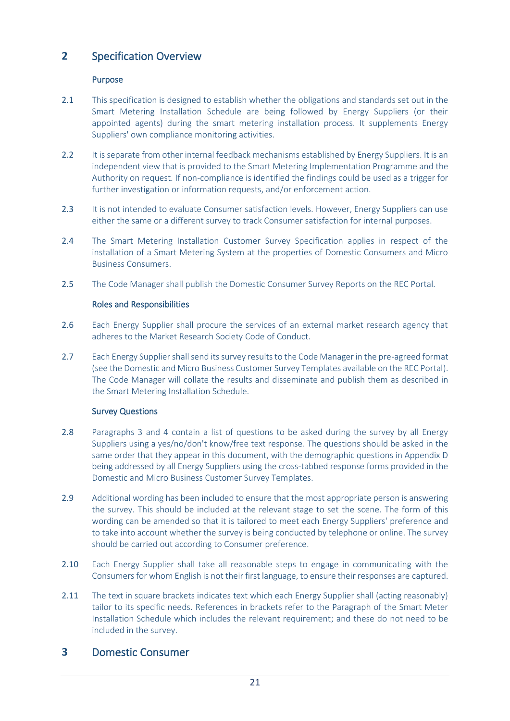# **2** Specification Overview

## Purpose

- 2.1 This specification is designed to establish whether the obligations and standards set out in the Smart Metering Installation Schedule are being followed by Energy Suppliers (or their appointed agents) during the smart metering installation process. It supplements Energy Suppliers' own compliance monitoring activities.
- 2.2 It is separate from other internal feedback mechanisms established by Energy Suppliers. It is an independent view that is provided to the Smart Metering Implementation Programme and the Authority on request. If non-compliance is identified the findings could be used as a trigger for further investigation or information requests, and/or enforcement action.
- 2.3 It is not intended to evaluate Consumer satisfaction levels. However, Energy Suppliers can use either the same or a different survey to track Consumer satisfaction for internal purposes.
- 2.4 The Smart Metering Installation Customer Survey Specification applies in respect of the installation of a Smart Metering System at the properties of Domestic Consumers and Micro Business Consumers.
- 2.5 The Code Manager shall publish the Domestic Consumer Survey Reports on the REC Portal.

### Roles and Responsibilities

- 2.6 Each Energy Supplier shall procure the services of an external market research agency that adheres to the Market Research Society Code of Conduct.
- 2.7 Each Energy Supplier shall send its survey results to the Code Manager in the pre-agreed format (see the Domestic and Micro Business Customer Survey Templates available on the REC Portal). The Code Manager will collate the results and disseminate and publish them as described in the Smart Metering Installation Schedule.

### Survey Questions

- 2.8 Paragraphs [3](#page-7-0) and [4](#page-12-0) contain a list of questions to be asked during the survey by all Energy Suppliers using a yes/no/don't know/free text response. The questions should be asked in the same order that they appear in this document, with the demographic questions in Appendix D being addressed by all Energy Suppliers using the cross-tabbed response forms provided in the Domestic and Micro Business Customer Survey Templates.
- 2.9 Additional wording has been included to ensure that the most appropriate person is answering the survey. This should be included at the relevant stage to set the scene. The form of this wording can be amended so that it is tailored to meet each Energy Suppliers' preference and to take into account whether the survey is being conducted by telephone or online. The survey should be carried out according to Consumer preference.
- 2.10 Each Energy Supplier shall take all reasonable steps to engage in communicating with the Consumers for whom English is not their first language, to ensure their responses are captured.
- 2.11 The text in square brackets indicates text which each Energy Supplier shall (acting reasonably) tailor to its specific needs. References in brackets refer to the Paragraph of the Smart Meter Installation Schedule which includes the relevant requirement; and these do not need to be included in the survey.

## **3** Domestic Consumer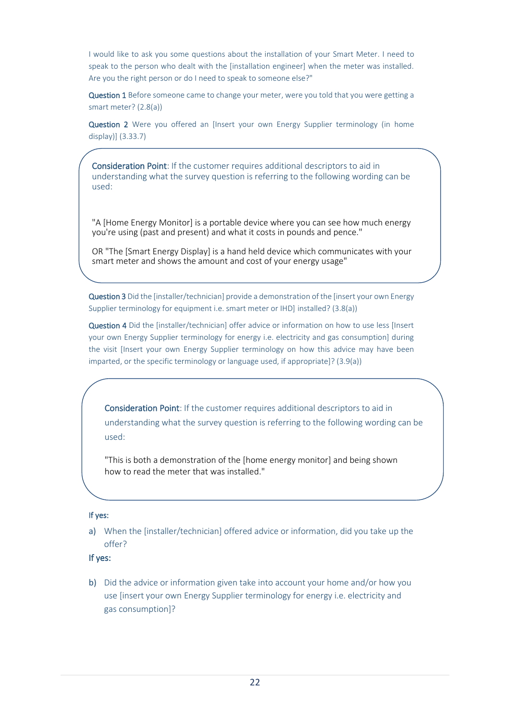I would like to ask you some questions about the installation of your Smart Meter. I need to speak to the person who dealt with the [installation engineer] when the meter was installed. Are you the right person or do I need to speak to someone else?"

Question 1 Before someone came to change your meter, were you told that you were getting a smart meter? (2.[8\(a\)\)](#page-5-0)

Question 2 Were you offered an [Insert your own Energy Supplier terminology (in home display)] [\(3.3](#page-9-0)[3.7\)](#page-9-1)

Consideration Point: If the customer requires additional descriptors to aid in understanding what the survey question is referring to the following wording can be used:

"A [Home Energy Monitor] is a portable device where you can see how much energy you're using (past and present) and what it costs in pounds and pence."

OR "The [Smart Energy Display] is a hand held device which communicates with your smart meter and shows the amount and cost of your energy usage"

Question 3 Did the [installer/technician] provide a demonstration of the [insert your own Energy Supplier terminology for equipment i.e. smart meter or IHD] installed? (3.[8\(a\)\)](#page-9-2)

Question 4 Did the [installer/technician] offer advice or information on how to use less [Insert] your own Energy Supplier terminology for energy i.e. electricity and gas consumption] during the visit [Insert your own Energy Supplier terminology on how this advice may have been imparted, or the specific terminology or language used, if appropriate]? (3.[9\(a\)\)](#page-10-0)

Consideration Point: If the customer requires additional descriptors to aid in understanding what the survey question is referring to the following wording can be used:

"This is both a demonstration of the [home energy monitor] and being shown how to read the meter that was installed."

#### If yes:

a) When the [installer/technician] offered advice or information, did you take up the offer?

#### If yes:

b) Did the advice or information given take into account your home and/or how you use [insert your own Energy Supplier terminology for energy i.e. electricity and gas consumption]?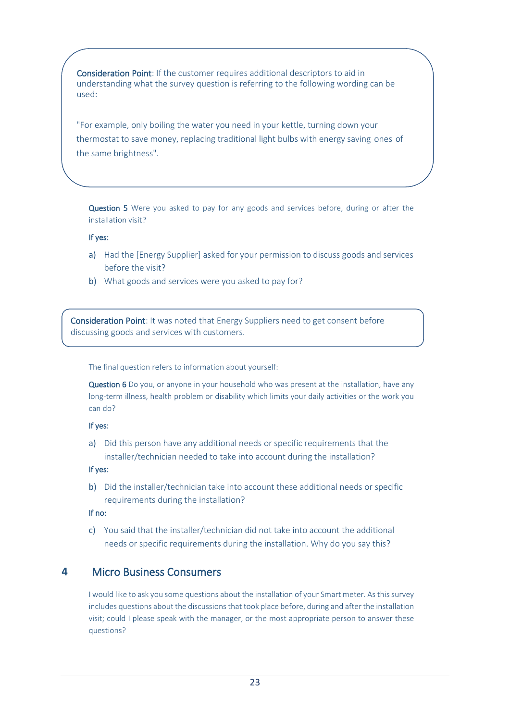Consideration Point: If the customer requires additional descriptors to aid in understanding what the survey question is referring to the following wording can be used:

"For example, only boiling the water you need in your kettle, turning down your thermostat to save money, replacing traditional light bulbs with energy saving ones of the same brightness".

Question 5 Were you asked to pay for any goods and services before, during or after the installation visit?

#### If yes:

- a) Had the [Energy Supplier] asked for your permission to discuss goods and services before the visit?
- b) What goods and services were you asked to pay for?

Consideration Point: It was noted that Energy Suppliers need to get consent before discussing goods and services with customers.

The final question refers to information about yourself:

Question 6 Do you, or anyone in your household who was present at the installation, have any long-term illness, health problem or disability which limits your daily activities or the work you can do?

#### If yes:

a) Did this person have any additional needs or specific requirements that the installer/technician needed to take into account during the installation?

#### If yes:

b) Did the installer/technician take into account these additional needs or specific requirements during the installation?

#### If no:

c) You said that the installer/technician did not take into account the additional needs or specific requirements during the installation. Why do you say this?

## **4** Micro Business Consumers

I would like to ask you some questions about the installation of your Smart meter. As this survey includes questions about the discussions that took place before, during and after the installation visit; could I please speak with the manager, or the most appropriate person to answer these questions?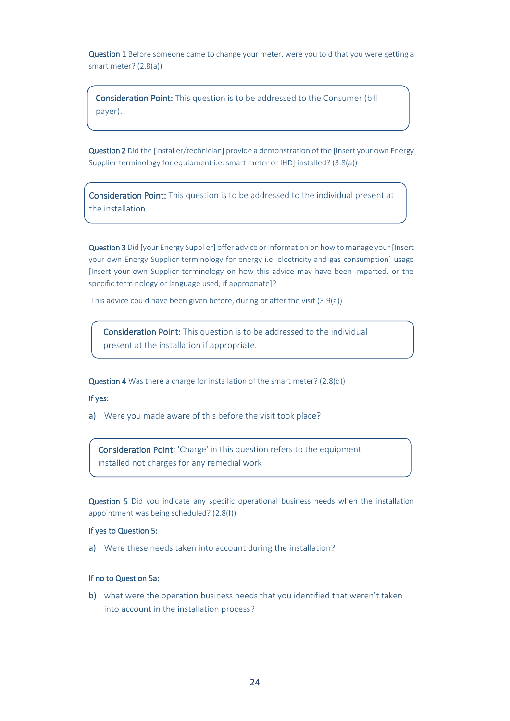Question 1 Before someone came to change your meter, were you told that you were getting a smart meter? (2.[8\(a\)\)](#page-5-0)

Consideration Point: This question is to be addressed to the Consumer (bill payer).

Question 2 Did the [installer/technician] provide a demonstration of the [insert your own Energy Supplier terminology for equipment i.e. smart meter or IHD] installed? (3.[8\(a\)\)](#page-9-2)

Consideration Point: This question is to be addressed to the individual present at the installation.

Question 3 Did [your Energy Supplier] offer advice or information on how to manage your [Insert your own Energy Supplier terminology for energy i.e. electricity and gas consumption] usage [Insert your own Supplier terminology on how this advice may have been imparted, or the specific terminology or language used, if appropriate]?

This advice could have been given before, during or after the visit (3.[9\(a\)\)](#page-10-0)

Consideration Point: This question is to be addressed to the individual present at the installation if appropriate.

Question 4 Was there a charge for installation of the smart meter? (2.[8\(d\)\)](#page-6-0)

#### If yes:

a) Were you made aware of this before the visit took place?

Consideration Point: 'Charge' in this question refers to the equipment installed not charges for any remedial work

Question 5 Did you indicate any specific operational business needs when the installation appointment was being scheduled? (2.[8\(f\)\)](#page-6-1)

#### If yes to Question 5:

a) Were these needs taken into account during the installation?

#### If no to Question 5a:

b) what were the operation business needs that you identified that weren't taken into account in the installation process?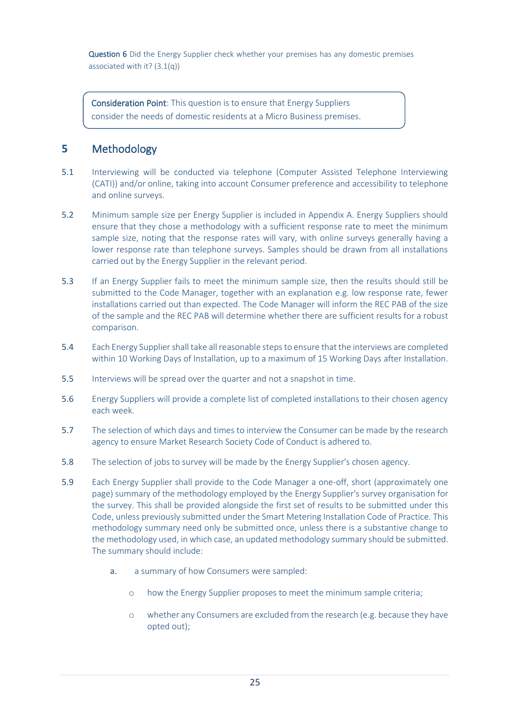Question 6 Did the Energy Supplier check whether your premises has any domestic premises associated with it? (3.[1\(q\)\)](#page-8-0)

Consideration Point: This question is to ensure that Energy Suppliers consider the needs of domestic residents at a Micro Business premises.

# **5** Methodology

- 5.1 Interviewing will be conducted via telephone (Computer Assisted Telephone Interviewing (CATI)) and/or online, taking into account Consumer preference and accessibility to telephone and online surveys.
- 5.2 Minimum sample size per Energy Supplier is included in Appendix A. Energy Suppliers should ensure that they chose a methodology with a sufficient response rate to meet the minimum sample size, noting that the response rates will vary, with online surveys generally having a lower response rate than telephone surveys. Samples should be drawn from all installations carried out by the Energy Supplier in the relevant period.
- 5.3 If an Energy Supplier fails to meet the minimum sample size, then the results should still be submitted to the Code Manager, together with an explanation e.g. low response rate, fewer installations carried out than expected. The Code Manager will inform the REC PAB of the size of the sample and the REC PAB will determine whether there are sufficient results for a robust comparison.
- 5.4 Each Energy Supplier shall take all reasonable stepsto ensure that the interviews are completed within 10 Working Days of Installation, up to a maximum of 15 Working Days after Installation.
- 5.5 Interviews will be spread over the quarter and not a snapshot in time.
- 5.6 Energy Suppliers will provide a complete list of completed installations to their chosen agency each week.
- 5.7 The selection of which days and times to interview the Consumer can be made by the research agency to ensure Market Research Society Code of Conduct is adhered to.
- 5.8 The selection of jobs to survey will be made by the Energy Supplier's chosen agency.
- 5.9 Each Energy Supplier shall provide to the Code Manager a one-off, short (approximately one page) summary of the methodology employed by the Energy Supplier's survey organisation for the survey. This shall be provided alongside the first set of results to be submitted under this Code, unless previously submitted under the Smart Metering Installation Code of Practice. This methodology summary need only be submitted once, unless there is a substantive change to the methodology used, in which case, an updated methodology summary should be submitted. The summary should include:
	- a. a summary of how Consumers were sampled:
		- o how the Energy Supplier proposes to meet the minimum sample criteria;
		- o whether any Consumers are excluded from the research (e.g. because they have opted out);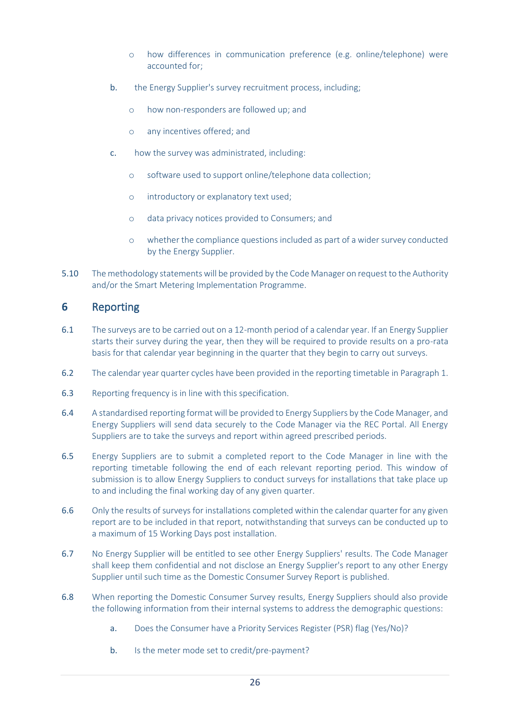- o how differences in communication preference (e.g. online/telephone) were accounted for;
- b. the Energy Supplier's survey recruitment process, including;
	- o how non-responders are followed up; and
	- o any incentives offered; and
- c. how the survey was administrated, including:
	- o software used to support online/telephone data collection;
	- o introductory or explanatory text used;
	- o data privacy notices provided to Consumers; and
	- o whether the compliance questions included as part of a wider survey conducted by the Energy Supplier.
- 5.10 The methodology statements will be provided by the Code Manager on request to the Authority and/or the Smart Metering Implementation Programme.

## **6** Reporting

- 6.1 The surveys are to be carried out on a 12-month period of a calendar year. If an Energy Supplier starts their survey during the year, then they will be required to provide results on a pro-rata basis for that calendar year beginning in the quarter that they begin to carry out surveys.
- 6.2 The calendar year quarter cycles have been provided in the reporting timetable in Paragraph [1.](#page-19-0)
- 6.3 Reporting frequency is in line with this specification.
- 6.4 A standardised reporting format will be provided to Energy Suppliers by the Code Manager, and Energy Suppliers will send data securely to the Code Manager via the REC Portal. All Energy Suppliers are to take the surveys and report within agreed prescribed periods.
- 6.5 Energy Suppliers are to submit a completed report to the Code Manager in line with the reporting timetable following the end of each relevant reporting period. This window of submission is to allow Energy Suppliers to conduct surveys for installations that take place up to and including the final working day of any given quarter.
- 6.6 Only the results of surveys for installations completed within the calendar quarter for any given report are to be included in that report, notwithstanding that surveys can be conducted up to a maximum of 15 Working Days post installation.
- 6.7 No Energy Supplier will be entitled to see other Energy Suppliers' results. The Code Manager shall keep them confidential and not disclose an Energy Supplier's report to any other Energy Supplier until such time as the Domestic Consumer Survey Report is published.
- 6.8 When reporting the Domestic Consumer Survey results, Energy Suppliers should also provide the following information from their internal systems to address the demographic questions:
	- a. Does the Consumer have a Priority Services Register (PSR) flag (Yes/No)?
	- b. Is the meter mode set to credit/pre-payment?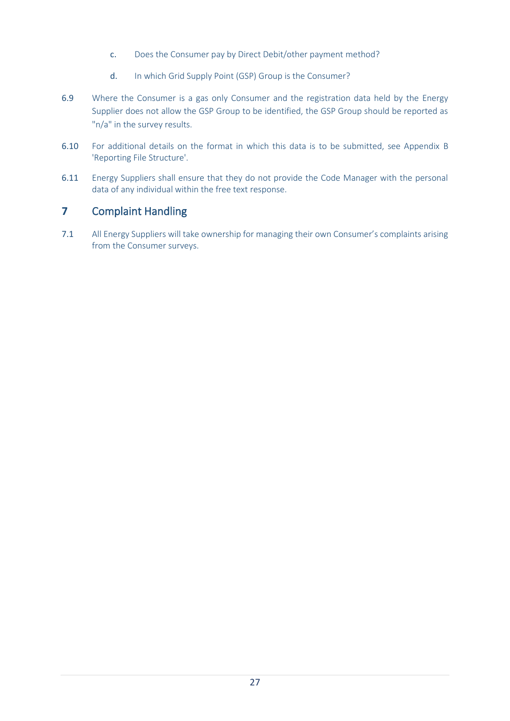- c. Does the Consumer pay by Direct Debit/other payment method?
- d. In which Grid Supply Point (GSP) Group is the Consumer?
- 6.9 Where the Consumer is a gas only Consumer and the registration data held by the Energy Supplier does not allow the GSP Group to be identified, the GSP Group should be reported as "n/a" in the survey results.
- 6.10 For additional details on the format in which this data is to be submitted, see Appendix B 'Reporting File Structure'.
- 6.11 Energy Suppliers shall ensure that they do not provide the Code Manager with the personal data of any individual within the free text response.

# **7** Complaint Handling

7.1 All Energy Suppliers will take ownership for managing their own Consumer's complaints arising from the Consumer surveys.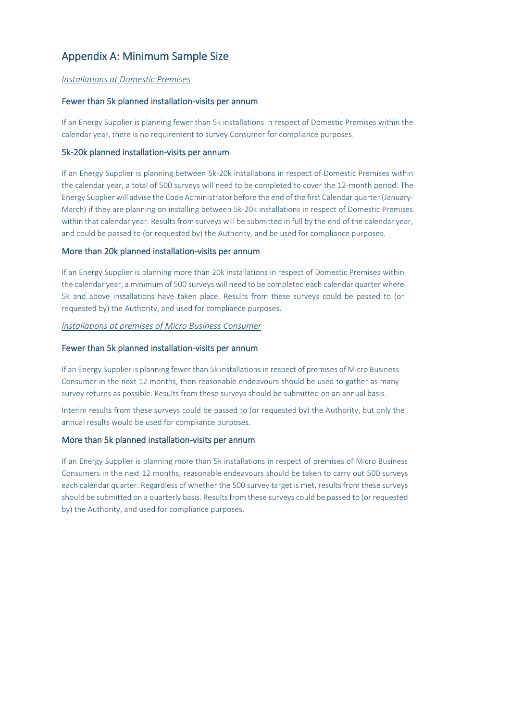# Appendix A: Minimum Sample Size

#### *Installations at Domestic Premises*

#### Fewer than 5k planned installation-visits per annum

If an Energy Supplier is planning fewer than 5k installations in respect of Domestic Premises within the calendar year, there is no requirement to survey Consumer for compliance purposes.

#### 5k-20k planned installation-visits per annum

If an Energy Supplier is planning between 5k-20k installations in respect of Domestic Premises within the calendar year, a total of 500 surveys will need to be completed to cover the 12-month period. The Energy Supplier will advise the Code Administrator before the end of the first Calendar quarter (January-March) if they are planning on installing between 5k-20k installations in respect of Domestic Premises within that calendar year. Results from surveys will be submitted in full by the end of the calendar year. and could be passed to (or requested by) the Authority, and be used for compliance purposes.

#### More than 20k planned installation-visits per annum

If an Energy Supplier is planning more than 20k installations in respect of Domestic Premises within the calendar year, a minimum of 500 surveys will need to be completed each calendar quarter where 5k and above installations have taken place. Results from these surveys could be passed to (or requested by) the Authority, and used for compliance purposes.

#### *Installations at premises of Micro Business Consumer*

#### Fewer than 5k planned installation-visits per annum

If an Energy Supplier is planning fewer than 5k installations in respect of premises of Micro Business Consumer in the next 12 months, then reasonable endeavours should be used to gather as many survey returns as possible. Results from these surveys should be submitted on an annual basis.

Interim results from these surveys could be passed to (or requested by) the Authority, but only the annual results would be used for compliance purposes.

#### More than 5k planned installation-visits per annum

If an Energy Supplier is planning more than 5k installations in respect of premises of Micro Business Consumers in the next 12 months, reasonable endeavours should be taken to carry out 500 surveys each calendar quarter. Regardless of whether the 500 survey target is met, results from these surveys should be submitted on a quarterly basis. Results from these surveys could be passed to (or requested by) the Authority, and used for compliance purposes.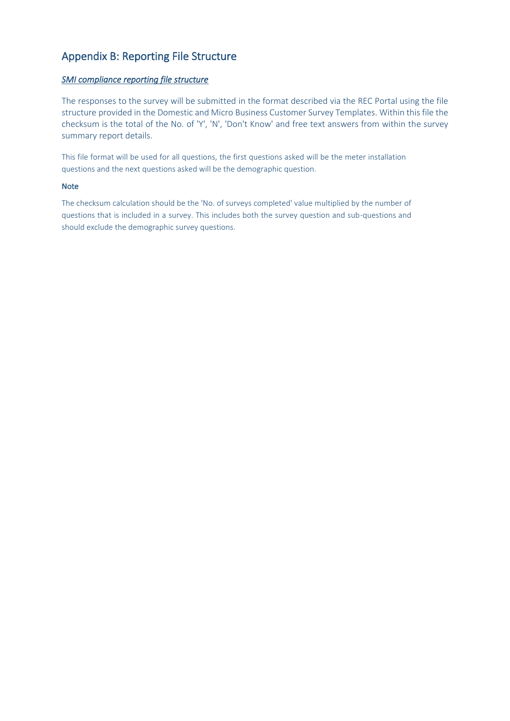# Appendix B: Reporting File Structure

#### *SMI compliance reporting file structure*

The responses to the survey will be submitted in the format described via the REC Portal using the file structure provided in the Domestic and Micro Business Customer Survey Templates. Within this file the checksum is the total of the No. of 'Y', 'N', 'Don't Know' and free text answers from within the survey summary report details.

This file format will be used for all questions, the first questions asked will be the meter installation questions and the next questions asked will be the demographic question.

#### Note

The checksum calculation should be the 'No. of surveys completed' value multiplied by the number of questions that is included in a survey. This includes both the survey question and sub-questions and should exclude the demographic survey questions.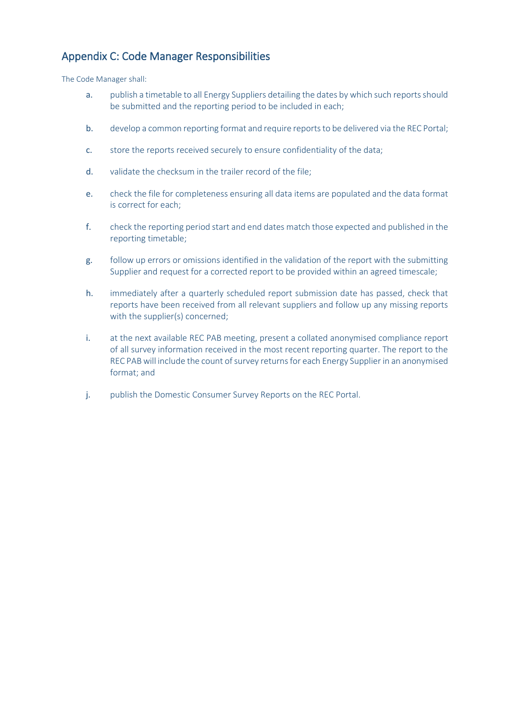# Appendix C: Code Manager Responsibilities

The Code Manager shall:

- a. publish a timetable to all Energy Suppliers detailing the dates by which such reports should be submitted and the reporting period to be included in each;
- b. develop a common reporting format and require reports to be delivered via the REC Portal;
- c. store the reports received securely to ensure confidentiality of the data;
- d. validate the checksum in the trailer record of the file;
- e. check the file for completeness ensuring all data items are populated and the data format is correct for each;
- f. check the reporting period start and end dates match those expected and published in the reporting timetable;
- g. follow up errors or omissions identified in the validation of the report with the submitting Supplier and request for a corrected report to be provided within an agreed timescale;
- h. immediately after a quarterly scheduled report submission date has passed, check that reports have been received from all relevant suppliers and follow up any missing reports with the supplier(s) concerned;
- i. at the next available REC PAB meeting, present a collated anonymised compliance report of all survey information received in the most recent reporting quarter. The report to the REC PABwill include the count of survey returns for each Energy Supplier in an anonymised format; and
- j. publish the Domestic Consumer Survey Reports on the REC Portal.